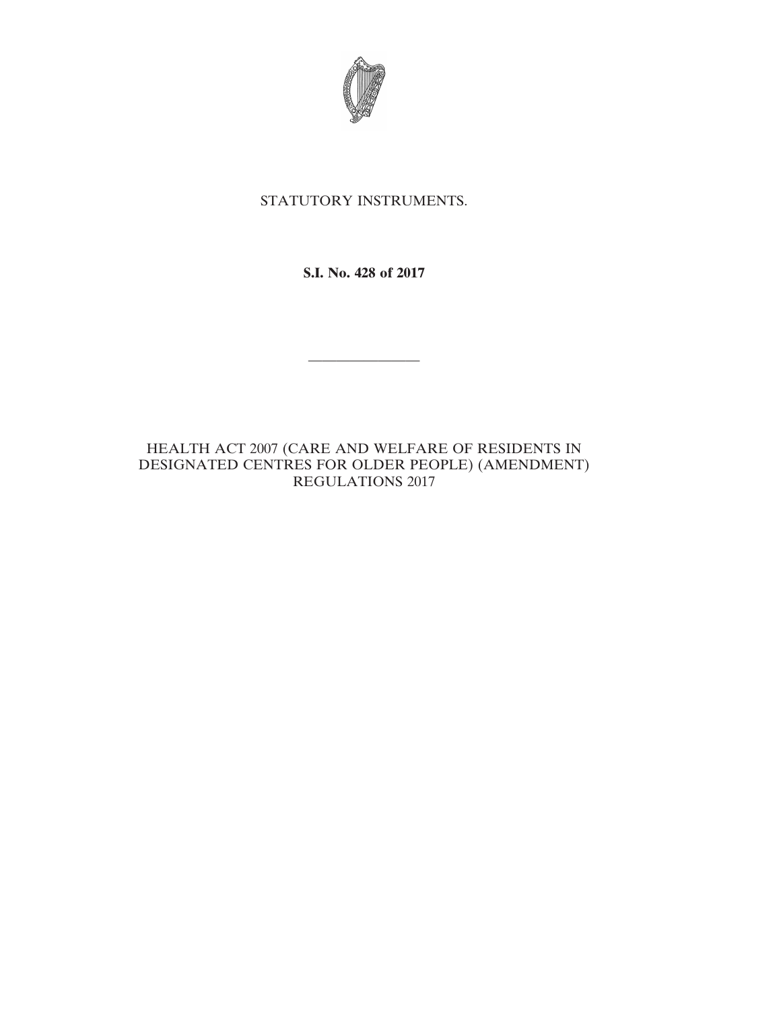

## STATUTORY INSTRUMENTS.

**S.I. No. 428 of 2017**

————————

HEALTH ACT 2007 (CARE AND WELFARE OF RESIDENTS IN DESIGNATED CENTRES FOR OLDER PEOPLE) (AMENDMENT) REGULATIONS 2017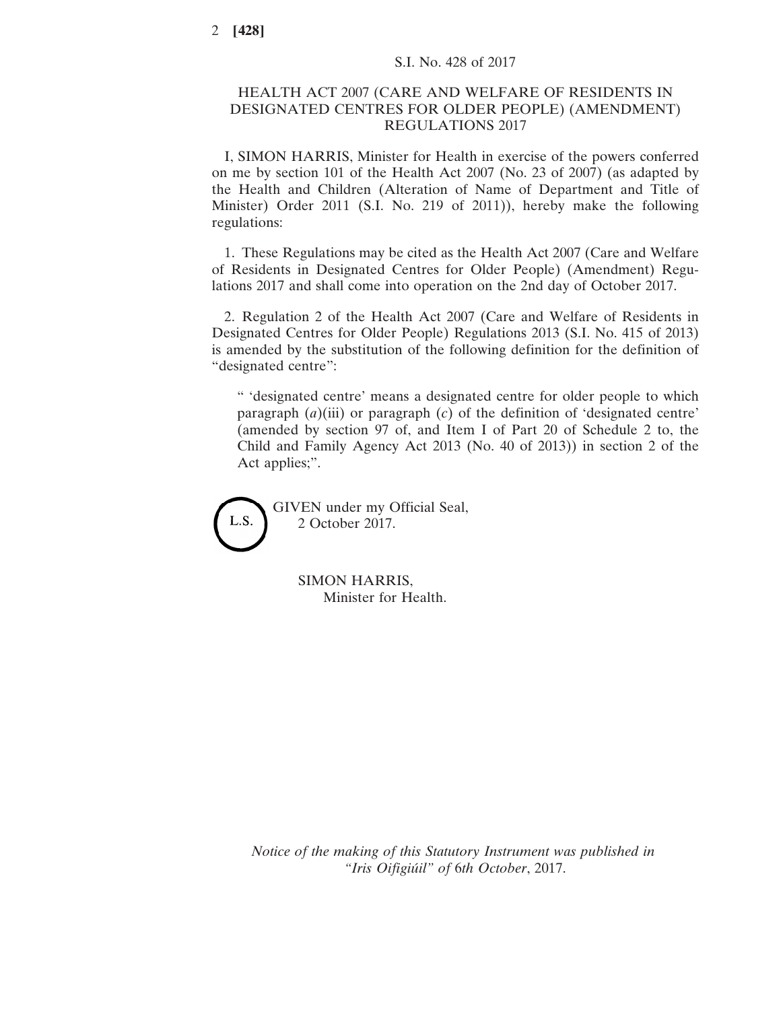## HEALTH ACT 2007 (CARE AND WELFARE OF RESIDENTS IN DESIGNATED CENTRES FOR OLDER PEOPLE) (AMENDMENT) REGULATIONS 2017

I, SIMON HARRIS, Minister for Health in exercise of the powers conferred on me by section 101 of the Health Act 2007 (No. 23 of 2007) (as adapted by the Health and Children (Alteration of Name of Department and Title of Minister) Order 2011 (S.I. No. 219 of 2011)), hereby make the following regulations:

1. These Regulations may be cited as the Health Act 2007 (Care and Welfare of Residents in Designated Centres for Older People) (Amendment) Regulations 2017 and shall come into operation on the 2nd day of October 2017.

2. Regulation 2 of the Health Act 2007 (Care and Welfare of Residents in Designated Centres for Older People) Regulations 2013 (S.I. No. 415 of 2013) is amended by the substitution of the following definition for the definition of "designated centre":

" 'designated centre' means a designated centre for older people to which paragraph  $(a)$ (iii) or paragraph  $(c)$  of the definition of 'designated centre' (amended by section 97 of, and Item I of Part 20 of Schedule 2 to, the Child and Family Agency Act 2013 (No. 40 of 2013)) in section 2 of the Act applies;".

GIVEN under my Official Seal, L.S. 2 October 2017.

> SIMON HARRIS, Minister for Health.

*Notice of the making of this Statutory Instrument was published in "Iris Oifigiúil" of* 6*th October*, 2017.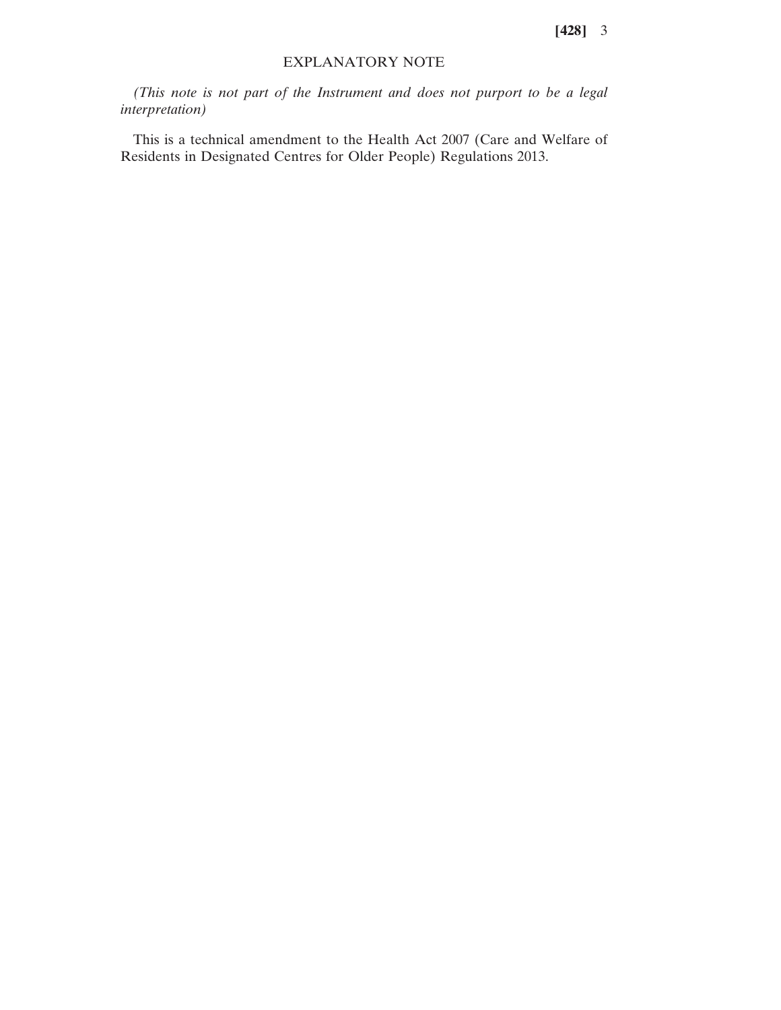**[428]** 3

## EXPLANATORY NOTE

*(This note is not part of the Instrument and does not purport to be a legal interpretation)*

This is a technical amendment to the Health Act 2007 (Care and Welfare of Residents in Designated Centres for Older People) Regulations 2013.